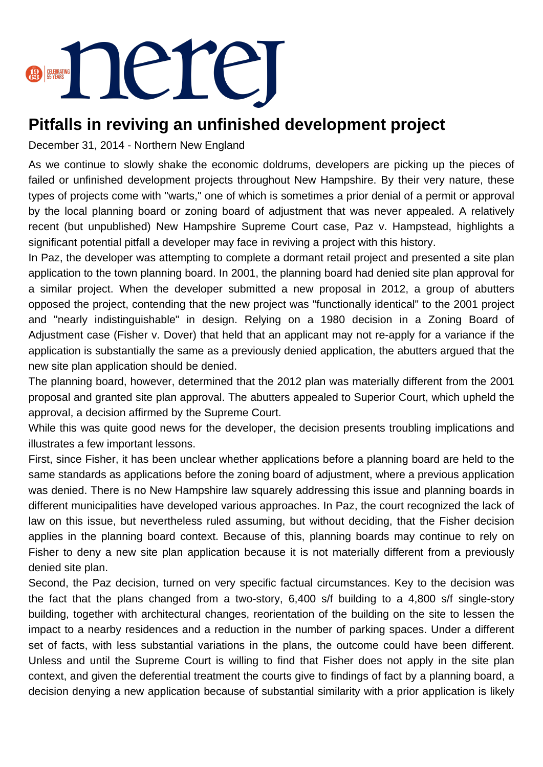

## **Pitfalls in reviving an unfinished development project**

December 31, 2014 - Northern New England

As we continue to slowly shake the economic doldrums, developers are picking up the pieces of failed or unfinished development projects throughout New Hampshire. By their very nature, these types of projects come with "warts," one of which is sometimes a prior denial of a permit or approval by the local planning board or zoning board of adjustment that was never appealed. A relatively recent (but unpublished) New Hampshire Supreme Court case, Paz v. Hampstead, highlights a significant potential pitfall a developer may face in reviving a project with this history.

In Paz, the developer was attempting to complete a dormant retail project and presented a site plan application to the town planning board. In 2001, the planning board had denied site plan approval for a similar project. When the developer submitted a new proposal in 2012, a group of abutters opposed the project, contending that the new project was "functionally identical" to the 2001 project and "nearly indistinguishable" in design. Relying on a 1980 decision in a Zoning Board of Adjustment case (Fisher v. Dover) that held that an applicant may not re-apply for a variance if the application is substantially the same as a previously denied application, the abutters argued that the new site plan application should be denied.

The planning board, however, determined that the 2012 plan was materially different from the 2001 proposal and granted site plan approval. The abutters appealed to Superior Court, which upheld the approval, a decision affirmed by the Supreme Court.

While this was quite good news for the developer, the decision presents troubling implications and illustrates a few important lessons.

First, since Fisher, it has been unclear whether applications before a planning board are held to the same standards as applications before the zoning board of adjustment, where a previous application was denied. There is no New Hampshire law squarely addressing this issue and planning boards in different municipalities have developed various approaches. In Paz, the court recognized the lack of law on this issue, but nevertheless ruled assuming, but without deciding, that the Fisher decision applies in the planning board context. Because of this, planning boards may continue to rely on Fisher to deny a new site plan application because it is not materially different from a previously denied site plan.

Second, the Paz decision, turned on very specific factual circumstances. Key to the decision was the fact that the plans changed from a two-story, 6,400 s/f building to a 4,800 s/f single-story building, together with architectural changes, reorientation of the building on the site to lessen the impact to a nearby residences and a reduction in the number of parking spaces. Under a different set of facts, with less substantial variations in the plans, the outcome could have been different. Unless and until the Supreme Court is willing to find that Fisher does not apply in the site plan context, and given the deferential treatment the courts give to findings of fact by a planning board, a decision denying a new application because of substantial similarity with a prior application is likely